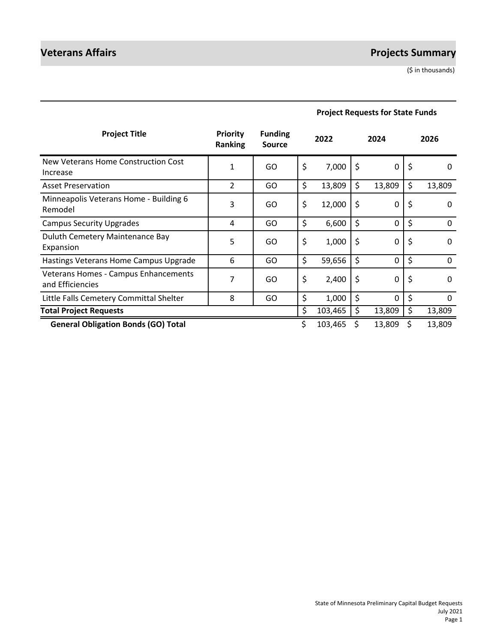# **Veterans Affairs Projects Summary**

(\$ in thousands)

| <b>Project Title</b>                                     | <b>Priority</b><br><b>Ranking</b> | <b>Funding</b><br>Source |         | 2022    | 2024               |    | 2026         |
|----------------------------------------------------------|-----------------------------------|--------------------------|---------|---------|--------------------|----|--------------|
| New Veterans Home Construction Cost<br>Increase          | 1                                 | GO                       | $\zeta$ | 7,000   | \$<br>$\mathbf 0$  | \$ | 0            |
| <b>Asset Preservation</b>                                | $\overline{2}$                    | GO                       | \$      | 13,809  | \$<br>13,809       | \$ | 13,809       |
| Minneapolis Veterans Home - Building 6<br>Remodel        | 3                                 | GO                       | \$      | 12,000  | \$<br>$\mathbf 0$  | Ş  | 0            |
| <b>Campus Security Upgrades</b>                          | 4                                 | GO                       | \$      | 6,600   | \$<br>0            | \$ | $\mathbf{0}$ |
| Duluth Cemetery Maintenance Bay<br>Expansion             | 5                                 | GO                       | \$      | 1,000   | \$<br>0            | \$ | 0            |
| Hastings Veterans Home Campus Upgrade                    | 6                                 | GO                       | \$      | 59,656  | \$<br>0            | \$ | $\mathbf{0}$ |
| Veterans Homes - Campus Enhancements<br>and Efficiencies | 7                                 | GO                       | \$      | 2,400   | \$<br>$\mathbf 0$  | Ş  | $\Omega$     |
| Little Falls Cemetery Committal Shelter                  | 8                                 | GO                       | \$      | 1,000   | \$<br>$\mathbf{0}$ | \$ | $\mathbf{0}$ |
| <b>Total Project Requests</b>                            |                                   |                          | \$      | 103,465 | \$<br>13,809       | \$ | 13,809       |
| <b>General Obligation Bonds (GO) Total</b>               |                                   |                          | \$      | 103,465 | 13,809             | \$ | 13,809       |

# **Project Requests for State Funds**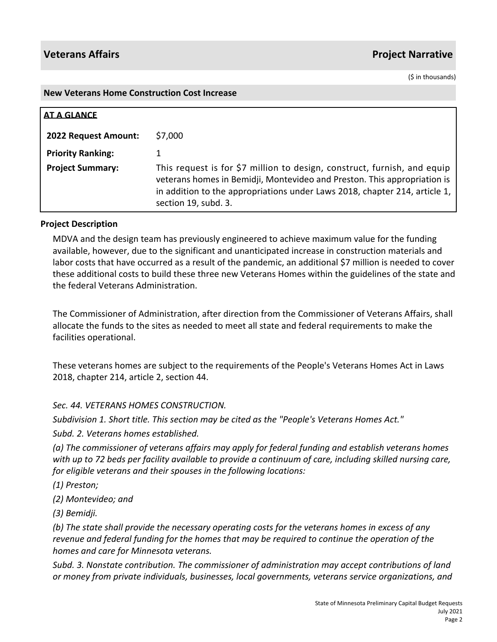(\$ in thousands)

### **New Veterans Home Construction Cost Increase**

| <b>AT A GLANCE</b>       |                                                                                                                                                                                                                                                            |
|--------------------------|------------------------------------------------------------------------------------------------------------------------------------------------------------------------------------------------------------------------------------------------------------|
| 2022 Request Amount:     | \$7,000                                                                                                                                                                                                                                                    |
| <b>Priority Ranking:</b> |                                                                                                                                                                                                                                                            |
| <b>Project Summary:</b>  | This request is for \$7 million to design, construct, furnish, and equip<br>veterans homes in Bemidji, Montevideo and Preston. This appropriation is<br>in addition to the appropriations under Laws 2018, chapter 214, article 1,<br>section 19, subd. 3. |

## **Project Description**

MDVA and the design team has previously engineered to achieve maximum value for the funding available, however, due to the significant and unanticipated increase in construction materials and labor costs that have occurred as a result of the pandemic, an additional \$7 million is needed to cover these additional costs to build these three new Veterans Homes within the guidelines of the state and the federal Veterans Administration.

The Commissioner of Administration, after direction from the Commissioner of Veterans Affairs, shall allocate the funds to the sites as needed to meet all state and federal requirements to make the facilities operational.

These veterans homes are subject to the requirements of the People's Veterans Homes Act in Laws 2018, chapter 214, article 2, section 44.

## *Sec. 44. VETERANS HOMES CONSTRUCTION.*

*Subdivision 1. Short title. This section may be cited as the "People's Veterans Homes Act."*

*Subd. 2. Veterans homes established.* 

*(a) The commissioner of veterans affairs may apply for federal funding and establish veterans homes with up to 72 beds per facility available to provide a continuum of care, including skilled nursing care, for eligible veterans and their spouses in the following locations:*

*(1) Preston;*

*(2) Montevideo; and*

*(3) Bemidji.*

*(b) The state shall provide the necessary operating costs for the veterans homes in excess of any revenue and federal funding for the homes that may be required to continue the operation of the homes and care for Minnesota veterans.* 

*Subd. 3. Nonstate contribution. The commissioner of administration may accept contributions of land or money from private individuals, businesses, local governments, veterans service organizations, and*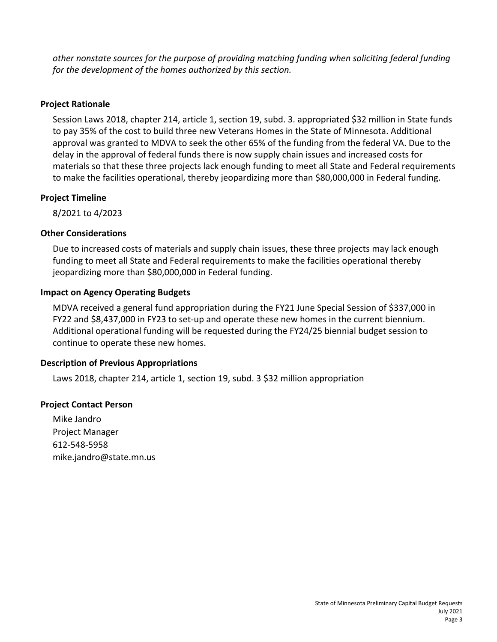*other nonstate sources for the purpose of providing matching funding when soliciting federal funding for the development of the homes authorized by this section.*

# **Project Rationale**

Session Laws 2018, chapter 214, article 1, section 19, subd. 3. appropriated \$32 million in State funds to pay 35% of the cost to build three new Veterans Homes in the State of Minnesota. Additional approval was granted to MDVA to seek the other 65% of the funding from the federal VA. Due to the delay in the approval of federal funds there is now supply chain issues and increased costs for materials so that these three projects lack enough funding to meet all State and Federal requirements to make the facilities operational, thereby jeopardizing more than \$80,000,000 in Federal funding.

# **Project Timeline**

8/2021 to 4/2023

# **Other Considerations**

Due to increased costs of materials and supply chain issues, these three projects may lack enough funding to meet all State and Federal requirements to make the facilities operational thereby jeopardizing more than \$80,000,000 in Federal funding.

# **Impact on Agency Operating Budgets**

MDVA received a general fund appropriation during the FY21 June Special Session of \$337,000 in FY22 and \$8,437,000 in FY23 to set-up and operate these new homes in the current biennium. Additional operational funding will be requested during the FY24/25 biennial budget session to continue to operate these new homes.

# **Description of Previous Appropriations**

Laws 2018, chapter 214, article 1, section 19, subd. 3 \$32 million appropriation

# **Project Contact Person**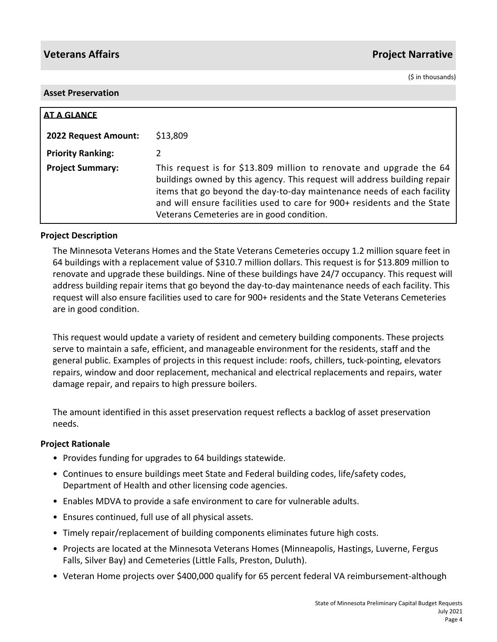(\$ in thousands)

## **Asset Preservation**

| <b>AT A GLANCE</b>       |                                                                                                                                                                                                                                                                                                                                                      |
|--------------------------|------------------------------------------------------------------------------------------------------------------------------------------------------------------------------------------------------------------------------------------------------------------------------------------------------------------------------------------------------|
| 2022 Request Amount:     | \$13,809                                                                                                                                                                                                                                                                                                                                             |
| <b>Priority Ranking:</b> | 2                                                                                                                                                                                                                                                                                                                                                    |
| <b>Project Summary:</b>  | This request is for \$13.809 million to renovate and upgrade the 64<br>buildings owned by this agency. This request will address building repair<br>items that go beyond the day-to-day maintenance needs of each facility<br>and will ensure facilities used to care for 900+ residents and the State<br>Veterans Cemeteries are in good condition. |

## **Project Description**

The Minnesota Veterans Homes and the State Veterans Cemeteries occupy 1.2 million square feet in 64 buildings with a replacement value of \$310.7 million dollars. This request is for \$13.809 million to renovate and upgrade these buildings. Nine of these buildings have 24/7 occupancy. This request will address building repair items that go beyond the day-to-day maintenance needs of each facility. This request will also ensure facilities used to care for 900+ residents and the State Veterans Cemeteries are in good condition.

This request would update a variety of resident and cemetery building components. These projects serve to maintain a safe, efficient, and manageable environment for the residents, staff and the general public. Examples of projects in this request include: roofs, chillers, tuck-pointing, elevators repairs, window and door replacement, mechanical and electrical replacements and repairs, water damage repair, and repairs to high pressure boilers.

The amount identified in this asset preservation request reflects a backlog of asset preservation needs.

## **Project Rationale**

- Provides funding for upgrades to 64 buildings statewide.
- Continues to ensure buildings meet State and Federal building codes, life/safety codes, Department of Health and other licensing code agencies.
- Enables MDVA to provide a safe environment to care for vulnerable adults.
- Ensures continued, full use of all physical assets.
- Timely repair/replacement of building components eliminates future high costs.
- Projects are located at the Minnesota Veterans Homes (Minneapolis, Hastings, Luverne, Fergus Falls, Silver Bay) and Cemeteries (Little Falls, Preston, Duluth).
- Veteran Home projects over \$400,000 qualify for 65 percent federal VA reimbursement-although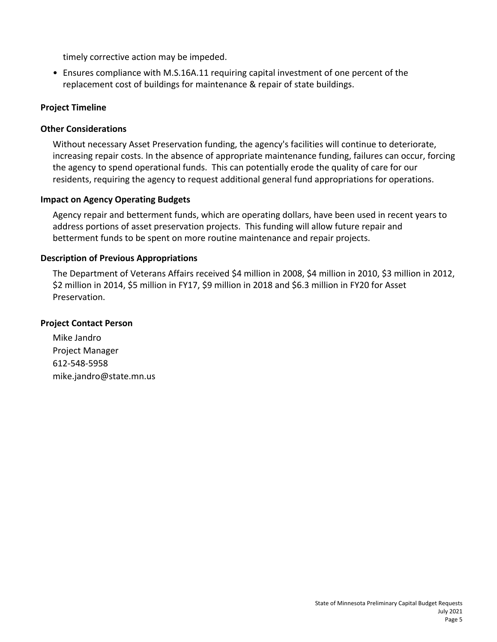timely corrective action may be impeded.

• Ensures compliance with M.S.16A.11 requiring capital investment of one percent of the replacement cost of buildings for maintenance & repair of state buildings.

## **Project Timeline**

## **Other Considerations**

Without necessary Asset Preservation funding, the agency's facilities will continue to deteriorate, increasing repair costs. In the absence of appropriate maintenance funding, failures can occur, forcing the agency to spend operational funds. This can potentially erode the quality of care for our residents, requiring the agency to request additional general fund appropriations for operations.

## **Impact on Agency Operating Budgets**

Agency repair and betterment funds, which are operating dollars, have been used in recent years to address portions of asset preservation projects. This funding will allow future repair and betterment funds to be spent on more routine maintenance and repair projects.

## **Description of Previous Appropriations**

The Department of Veterans Affairs received \$4 million in 2008, \$4 million in 2010, \$3 million in 2012, \$2 million in 2014, \$5 million in FY17, \$9 million in 2018 and \$6.3 million in FY20 for Asset Preservation.

### **Project Contact Person**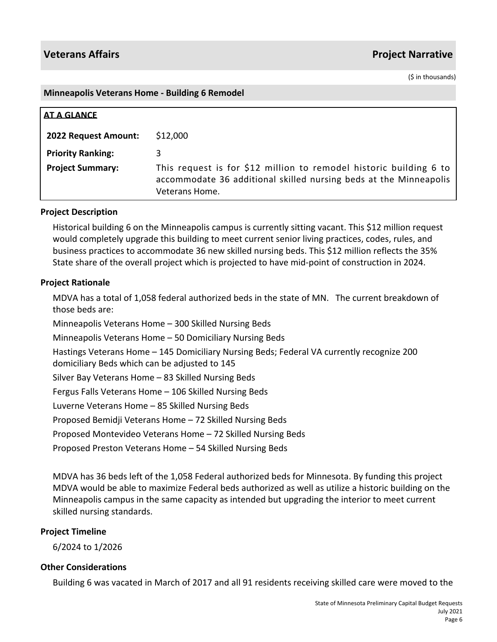(\$ in thousands)

### **Minneapolis Veterans Home - Building 6 Remodel**

| <b>AT A GLANCE</b>          |                                                                                                                                                           |
|-----------------------------|-----------------------------------------------------------------------------------------------------------------------------------------------------------|
| <b>2022 Request Amount:</b> | \$12,000                                                                                                                                                  |
| <b>Priority Ranking:</b>    |                                                                                                                                                           |
| <b>Project Summary:</b>     | This request is for \$12 million to remodel historic building 6 to<br>accommodate 36 additional skilled nursing beds at the Minneapolis<br>Veterans Home. |

## **Project Description**

Historical building 6 on the Minneapolis campus is currently sitting vacant. This \$12 million request would completely upgrade this building to meet current senior living practices, codes, rules, and business practices to accommodate 36 new skilled nursing beds. This \$12 million reflects the 35% State share of the overall project which is projected to have mid-point of construction in 2024.

## **Project Rationale**

MDVA has a total of 1,058 federal authorized beds in the state of MN. The current breakdown of those beds are:

Minneapolis Veterans Home – 300 Skilled Nursing Beds

Minneapolis Veterans Home – 50 Domiciliary Nursing Beds

Hastings Veterans Home – 145 Domiciliary Nursing Beds; Federal VA currently recognize 200 domiciliary Beds which can be adjusted to 145

Silver Bay Veterans Home – 83 Skilled Nursing Beds

Fergus Falls Veterans Home – 106 Skilled Nursing Beds

Luverne Veterans Home – 85 Skilled Nursing Beds

Proposed Bemidji Veterans Home – 72 Skilled Nursing Beds

Proposed Montevideo Veterans Home – 72 Skilled Nursing Beds

Proposed Preston Veterans Home – 54 Skilled Nursing Beds

MDVA has 36 beds left of the 1,058 Federal authorized beds for Minnesota. By funding this project MDVA would be able to maximize Federal beds authorized as well as utilize a historic building on the Minneapolis campus in the same capacity as intended but upgrading the interior to meet current skilled nursing standards.

## **Project Timeline**

6/2024 to 1/2026

## **Other Considerations**

Building 6 was vacated in March of 2017 and all 91 residents receiving skilled care were moved to the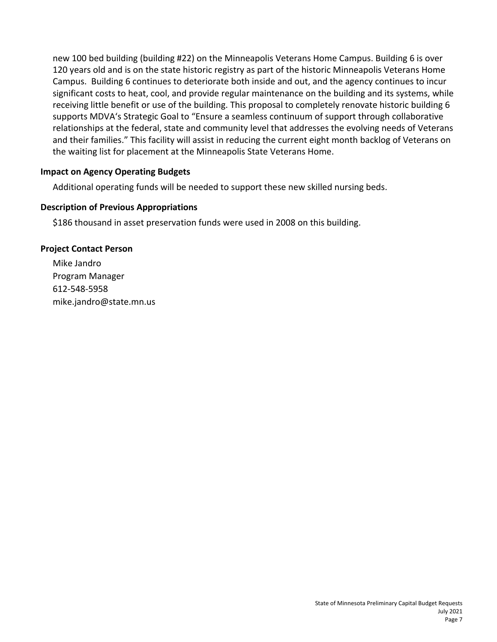new 100 bed building (building #22) on the Minneapolis Veterans Home Campus. Building 6 is over 120 years old and is on the state historic registry as part of the historic Minneapolis Veterans Home Campus. Building 6 continues to deteriorate both inside and out, and the agency continues to incur significant costs to heat, cool, and provide regular maintenance on the building and its systems, while receiving little benefit or use of the building. This proposal to completely renovate historic building 6 supports MDVA's Strategic Goal to "Ensure a seamless continuum of support through collaborative relationships at the federal, state and community level that addresses the evolving needs of Veterans and their families." This facility will assist in reducing the current eight month backlog of Veterans on the waiting list for placement at the Minneapolis State Veterans Home.

# **Impact on Agency Operating Budgets**

Additional operating funds will be needed to support these new skilled nursing beds.

# **Description of Previous Appropriations**

\$186 thousand in asset preservation funds were used in 2008 on this building.

# **Project Contact Person**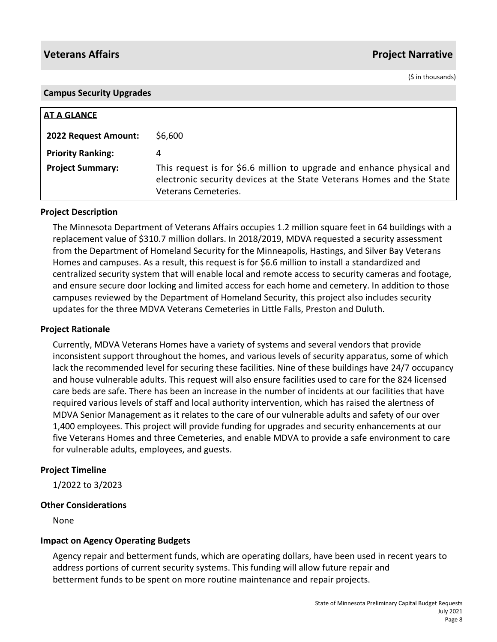(\$ in thousands)

| <b>Campus Security Upgrades</b> |                                                                                                                                                                        |
|---------------------------------|------------------------------------------------------------------------------------------------------------------------------------------------------------------------|
|                                 |                                                                                                                                                                        |
| <b>AT A GLANCE</b>              |                                                                                                                                                                        |
| 2022 Request Amount:            | \$6,600                                                                                                                                                                |
| <b>Priority Ranking:</b>        | 4                                                                                                                                                                      |
| <b>Project Summary:</b>         | This request is for \$6.6 million to upgrade and enhance physical and<br>electronic security devices at the State Veterans Homes and the State<br>Veterans Cemeteries. |

## **Project Description**

The Minnesota Department of Veterans Affairs occupies 1.2 million square feet in 64 buildings with a replacement value of \$310.7 million dollars. In 2018/2019, MDVA requested a security assessment from the Department of Homeland Security for the Minneapolis, Hastings, and Silver Bay Veterans Homes and campuses. As a result, this request is for \$6.6 million to install a standardized and centralized security system that will enable local and remote access to security cameras and footage, and ensure secure door locking and limited access for each home and cemetery. In addition to those campuses reviewed by the Department of Homeland Security, this project also includes security updates for the three MDVA Veterans Cemeteries in Little Falls, Preston and Duluth.

### **Project Rationale**

Currently, MDVA Veterans Homes have a variety of systems and several vendors that provide inconsistent support throughout the homes, and various levels of security apparatus, some of which lack the recommended level for securing these facilities. Nine of these buildings have 24/7 occupancy and house vulnerable adults. This request will also ensure facilities used to care for the 824 licensed care beds are safe. There has been an increase in the number of incidents at our facilities that have required various levels of staff and local authority intervention, which has raised the alertness of MDVA Senior Management as it relates to the care of our vulnerable adults and safety of our over 1,400 employees. This project will provide funding for upgrades and security enhancements at our five Veterans Homes and three Cemeteries, and enable MDVA to provide a safe environment to care for vulnerable adults, employees, and guests.

### **Project Timeline**

1/2022 to 3/2023

## **Other Considerations**

None

## **Impact on Agency Operating Budgets**

Agency repair and betterment funds, which are operating dollars, have been used in recent years to address portions of current security systems. This funding will allow future repair and betterment funds to be spent on more routine maintenance and repair projects.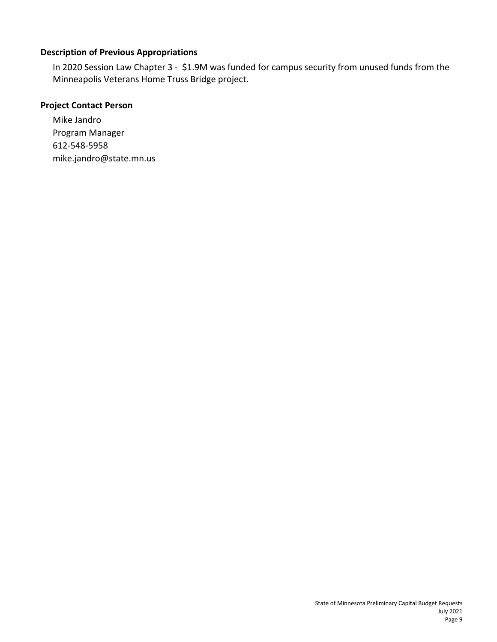# **Description of Previous Appropriations**

In 2020 Session Law Chapter 3 - \$1.9M was funded for campus security from unused funds from the Minneapolis Veterans Home Truss Bridge project.

# **Project Contact Person**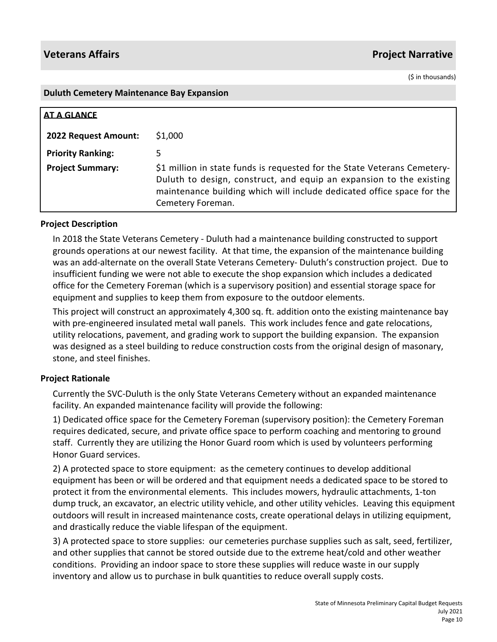(\$ in thousands)

### **Duluth Cemetery Maintenance Bay Expansion**

| <b>AT A GLANCE</b>       |                                                                                                                                                                                                                                                |
|--------------------------|------------------------------------------------------------------------------------------------------------------------------------------------------------------------------------------------------------------------------------------------|
| 2022 Request Amount:     | \$1,000                                                                                                                                                                                                                                        |
| <b>Priority Ranking:</b> |                                                                                                                                                                                                                                                |
| <b>Project Summary:</b>  | \$1 million in state funds is requested for the State Veterans Cemetery-<br>Duluth to design, construct, and equip an expansion to the existing<br>maintenance building which will include dedicated office space for the<br>Cemetery Foreman. |

## **Project Description**

In 2018 the State Veterans Cemetery - Duluth had a maintenance building constructed to support grounds operations at our newest facility. At that time, the expansion of the maintenance building was an add-alternate on the overall State Veterans Cemetery- Duluth's construction project. Due to insufficient funding we were not able to execute the shop expansion which includes a dedicated office for the Cemetery Foreman (which is a supervisory position) and essential storage space for equipment and supplies to keep them from exposure to the outdoor elements.

This project will construct an approximately 4,300 sq. ft. addition onto the existing maintenance bay with pre-engineered insulated metal wall panels. This work includes fence and gate relocations, utility relocations, pavement, and grading work to support the building expansion. The expansion was designed as a steel building to reduce construction costs from the original design of masonary, stone, and steel finishes.

## **Project Rationale**

Currently the SVC-Duluth is the only State Veterans Cemetery without an expanded maintenance facility. An expanded maintenance facility will provide the following:

1) Dedicated office space for the Cemetery Foreman (supervisory position): the Cemetery Foreman requires dedicated, secure, and private office space to perform coaching and mentoring to ground staff. Currently they are utilizing the Honor Guard room which is used by volunteers performing Honor Guard services.

2) A protected space to store equipment: as the cemetery continues to develop additional equipment has been or will be ordered and that equipment needs a dedicated space to be stored to protect it from the environmental elements. This includes mowers, hydraulic attachments, 1-ton dump truck, an excavator, an electric utility vehicle, and other utility vehicles. Leaving this equipment outdoors will result in increased maintenance costs, create operational delays in utilizing equipment, and drastically reduce the viable lifespan of the equipment.

3) A protected space to store supplies: our cemeteries purchase supplies such as salt, seed, fertilizer, and other supplies that cannot be stored outside due to the extreme heat/cold and other weather conditions. Providing an indoor space to store these supplies will reduce waste in our supply inventory and allow us to purchase in bulk quantities to reduce overall supply costs.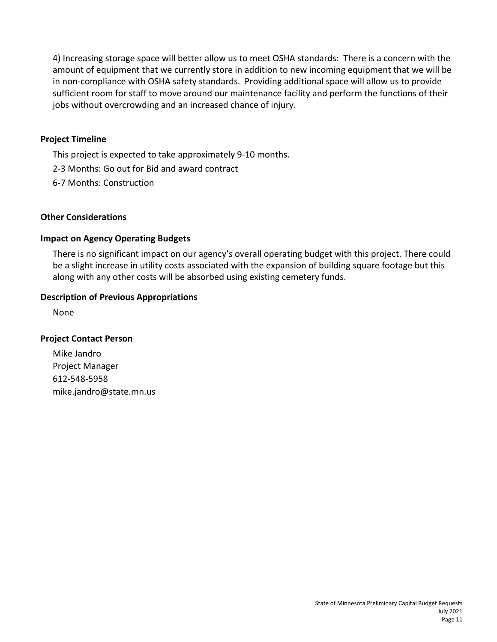4) Increasing storage space will better allow us to meet OSHA standards: There is a concern with the amount of equipment that we currently store in addition to new incoming equipment that we will be in non-compliance with OSHA safety standards. Providing additional space will allow us to provide sufficient room for staff to move around our maintenance facility and perform the functions of their jobs without overcrowding and an increased chance of injury.

# **Project Timeline**

This project is expected to take approximately 9-10 months.

- 2-3 Months: Go out for Bid and award contract
- 6-7 Months: Construction

## **Other Considerations**

# **Impact on Agency Operating Budgets**

There is no significant impact on our agency's overall operating budget with this project. There could be a slight increase in utility costs associated with the expansion of building square footage but this along with any other costs will be absorbed using existing cemetery funds.

## **Description of Previous Appropriations**

None

## **Project Contact Person**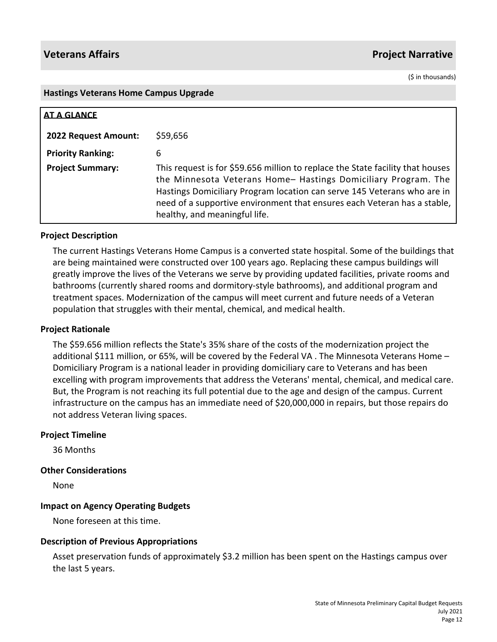(\$ in thousands)

### **Hastings Veterans Home Campus Upgrade**

| AT A GLANCE              |                                                                                                                                                                                                                                                                                                                                          |
|--------------------------|------------------------------------------------------------------------------------------------------------------------------------------------------------------------------------------------------------------------------------------------------------------------------------------------------------------------------------------|
| 2022 Request Amount:     | \$59,656                                                                                                                                                                                                                                                                                                                                 |
| <b>Priority Ranking:</b> | 6                                                                                                                                                                                                                                                                                                                                        |
| <b>Project Summary:</b>  | This request is for \$59.656 million to replace the State facility that houses<br>the Minnesota Veterans Home- Hastings Domiciliary Program. The<br>Hastings Domiciliary Program location can serve 145 Veterans who are in<br>need of a supportive environment that ensures each Veteran has a stable,<br>healthy, and meaningful life. |

## **Project Description**

The current Hastings Veterans Home Campus is a converted state hospital. Some of the buildings that are being maintained were constructed over 100 years ago. Replacing these campus buildings will greatly improve the lives of the Veterans we serve by providing updated facilities, private rooms and bathrooms (currently shared rooms and dormitory-style bathrooms), and additional program and treatment spaces. Modernization of the campus will meet current and future needs of a Veteran population that struggles with their mental, chemical, and medical health.

## **Project Rationale**

The \$59.656 million reflects the State's 35% share of the costs of the modernization project the additional \$111 million, or 65%, will be covered by the Federal VA. The Minnesota Veterans Home -Domiciliary Program is a national leader in providing domiciliary care to Veterans and has been excelling with program improvements that address the Veterans' mental, chemical, and medical care. But, the Program is not reaching its full potential due to the age and design of the campus. Current infrastructure on the campus has an immediate need of \$20,000,000 in repairs, but those repairs do not address Veteran living spaces.

## **Project Timeline**

36 Months

## **Other Considerations**

None

## **Impact on Agency Operating Budgets**

None foreseen at this time.

## **Description of Previous Appropriations**

Asset preservation funds of approximately \$3.2 million has been spent on the Hastings campus over the last 5 years.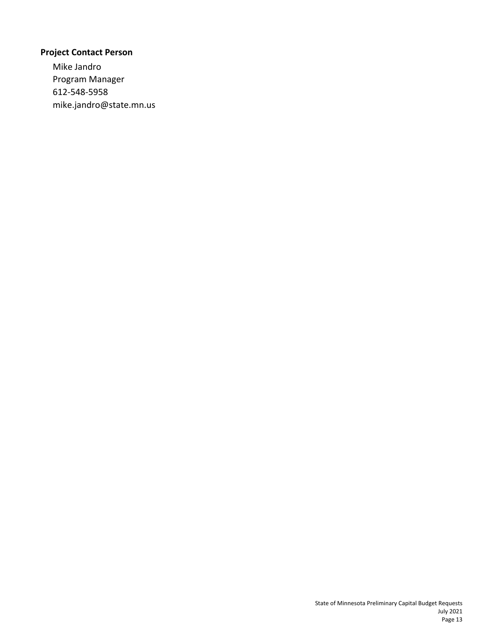# **Project Contact Person**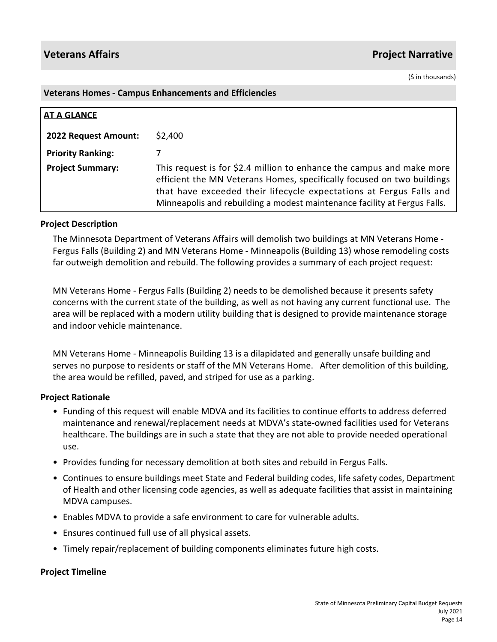(\$ in thousands)

## **Veterans Homes - Campus Enhancements and Efficiencies**

| <b>AT A GLANCE</b>       |                                                                                                                                                                                                                                                                                                     |
|--------------------------|-----------------------------------------------------------------------------------------------------------------------------------------------------------------------------------------------------------------------------------------------------------------------------------------------------|
| 2022 Request Amount:     | \$2,400                                                                                                                                                                                                                                                                                             |
| <b>Priority Ranking:</b> |                                                                                                                                                                                                                                                                                                     |
| <b>Project Summary:</b>  | This request is for \$2.4 million to enhance the campus and make more<br>efficient the MN Veterans Homes, specifically focused on two buildings<br>that have exceeded their lifecycle expectations at Fergus Falls and<br>Minneapolis and rebuilding a modest maintenance facility at Fergus Falls. |

## **Project Description**

The Minnesota Department of Veterans Affairs will demolish two buildings at MN Veterans Home - Fergus Falls (Building 2) and MN Veterans Home - Minneapolis (Building 13) whose remodeling costs far outweigh demolition and rebuild. The following provides a summary of each project request:

MN Veterans Home - Fergus Falls (Building 2) needs to be demolished because it presents safety concerns with the current state of the building, as well as not having any current functional use. The area will be replaced with a modern utility building that is designed to provide maintenance storage and indoor vehicle maintenance.

MN Veterans Home - Minneapolis Building 13 is a dilapidated and generally unsafe building and serves no purpose to residents or staff of the MN Veterans Home. After demolition of this building, the area would be refilled, paved, and striped for use as a parking.

## **Project Rationale**

- Funding of this request will enable MDVA and its facilities to continue efforts to address deferred maintenance and renewal/replacement needs at MDVA's state-owned facilities used for Veterans healthcare. The buildings are in such a state that they are not able to provide needed operational use.
- Provides funding for necessary demolition at both sites and rebuild in Fergus Falls.
- Continues to ensure buildings meet State and Federal building codes, life safety codes, Department of Health and other licensing code agencies, as well as adequate facilities that assist in maintaining MDVA campuses.
- Enables MDVA to provide a safe environment to care for vulnerable adults.
- Ensures continued full use of all physical assets.
- Timely repair/replacement of building components eliminates future high costs.

### **Project Timeline**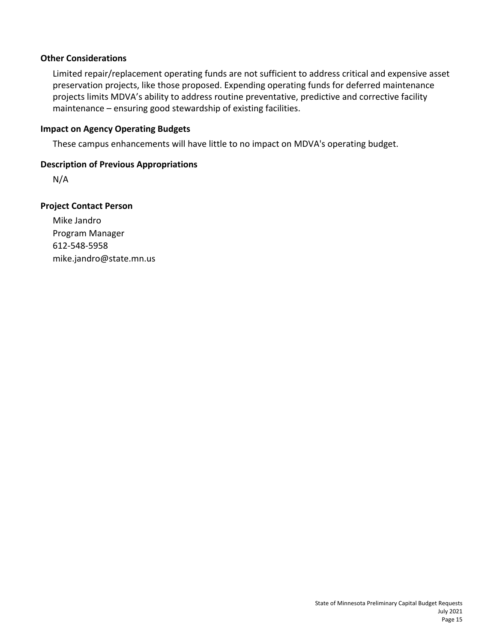# **Other Considerations**

Limited repair/replacement operating funds are not sufficient to address critical and expensive asset preservation projects, like those proposed. Expending operating funds for deferred maintenance projects limits MDVA's ability to address routine preventative, predictive and corrective facility maintenance – ensuring good stewardship of existing facilities.

# **Impact on Agency Operating Budgets**

These campus enhancements will have little to no impact on MDVA's operating budget.

# **Description of Previous Appropriations**

N/A

# **Project Contact Person**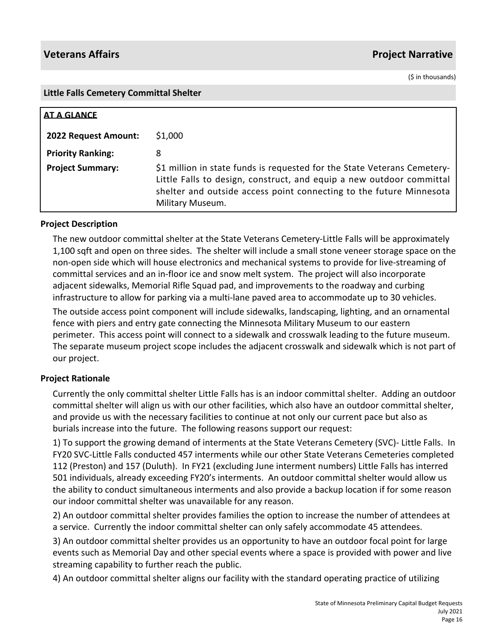(\$ in thousands)

## **Little Falls Cemetery Committal Shelter**

| <b>AT A GLANCE</b>       |                                                                                                                                                                                                                                             |
|--------------------------|---------------------------------------------------------------------------------------------------------------------------------------------------------------------------------------------------------------------------------------------|
| 2022 Request Amount:     | \$1,000                                                                                                                                                                                                                                     |
| <b>Priority Ranking:</b> | 8                                                                                                                                                                                                                                           |
| <b>Project Summary:</b>  | \$1 million in state funds is requested for the State Veterans Cemetery-<br>Little Falls to design, construct, and equip a new outdoor committal<br>shelter and outside access point connecting to the future Minnesota<br>Military Museum. |

# **Project Description**

The new outdoor committal shelter at the State Veterans Cemetery-Little Falls will be approximately 1,100 sqft and open on three sides. The shelter will include a small stone veneer storage space on the non-open side which will house electronics and mechanical systems to provide for live-streaming of committal services and an in-floor ice and snow melt system. The project will also incorporate adjacent sidewalks, Memorial Rifle Squad pad, and improvements to the roadway and curbing infrastructure to allow for parking via a multi-lane paved area to accommodate up to 30 vehicles.

The outside access point component will include sidewalks, landscaping, lighting, and an ornamental fence with piers and entry gate connecting the Minnesota Military Museum to our eastern perimeter. This access point will connect to a sidewalk and crosswalk leading to the future museum. The separate museum project scope includes the adjacent crosswalk and sidewalk which is not part of our project.

# **Project Rationale**

Currently the only committal shelter Little Falls has is an indoor committal shelter. Adding an outdoor committal shelter will align us with our other facilities, which also have an outdoor committal shelter, and provide us with the necessary facilities to continue at not only our current pace but also as burials increase into the future. The following reasons support our request:

1) To support the growing demand of interments at the State Veterans Cemetery (SVC)- Little Falls. In FY20 SVC-Little Falls conducted 457 interments while our other State Veterans Cemeteries completed 112 (Preston) and 157 (Duluth). In FY21 (excluding June interment numbers) Little Falls has interred 501 individuals, already exceeding FY20's interments. An outdoor committal shelter would allow us the ability to conduct simultaneous interments and also provide a backup location if for some reason our indoor committal shelter was unavailable for any reason.

2) An outdoor committal shelter provides families the option to increase the number of attendees at a service. Currently the indoor committal shelter can only safely accommodate 45 attendees.

3) An outdoor committal shelter provides us an opportunity to have an outdoor focal point for large events such as Memorial Day and other special events where a space is provided with power and live streaming capability to further reach the public.

4) An outdoor committal shelter aligns our facility with the standard operating practice of utilizing